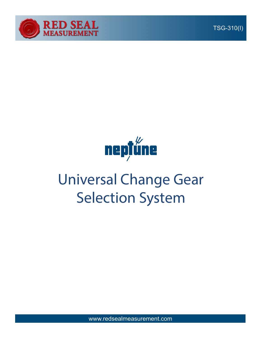

TSG-310(I)



# Universal Change Gear Selection System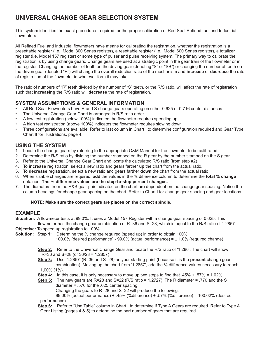# **UNIVERSAL CHANGE GEAR SELECTION SYSTEM**

This system identifies the exact procedures required for the proper calibration of Red Seal Refined fuel and Industrial flowmeters.

All Refined Fuel and Industrial flowmeters have means for calibrating the registration, whether the registration is a presettable register (i.e., Model 800 Series register), a resettable register (i.e., Model 600 Series register), a totalizer register (i.e. Model 157 register) or some type of pulser and pulse receiving system. The primary way to calibrate the registration is by using change gears. Change gears are used at a strategic point in the gear train of the flowmeter or in the register. Changing the number of teeth on the driving gear (denoting "S" or "SB") or changing the number of teeth on the driven gear (denoted "R") will change the overall reduction ratio of the mechanism and **increase** or **decrease** the rate of registration of the flowmeter in whatever form it may take.

The ratio of numbers of "R" teeth divided by the number of "S" teeth, or the R/S ratio, will affect the rate of registration such that **increasing** the R/S ratio will **decrease** the rate of registration.

#### **SYSTEM ASSUMPTIONS & GENERAL INFORMATION**

- All Red Seal Flowmeters have R and S change gears operating on either 0.625 or 0.716 center distances
- The Universal Change Gear Chart is arranged in R/S ratio order
- A low test registration (below 100%) indicated the flowmeter requires speeding up
- A high test registration (above 100%) indicates the flowmeter requires slowing down
- Three configurations are available. Refer to last column in Chart I to determine configuration required and Gear Type Chart II for illustrations, page 4.

#### **USING THE SYSTEM**

- 1. Locate the change gears by referring to the appropriate O&M Manual for the flowmeter to be calibrated.
- 2. Determine the R/S ratio by dividing the number stamped on the R gear by the number stamped on the S gear.
- 3. Refer to the Universal Change Gear Chart and locate the calculated R/S ratio (from step #2)
- 4. To **increase** registration, select a new ratio and gears farther **up** the chart from the actual ratio.
- 5. To **decrease** registration, select a new ratio and gears farther **down** the chart from the actual ratio.
- 6. When sizable changes are required, **add** the values in the % difference column to determine the **total % change**  obtained. **The % difference values are the step-to-step percent changes.**
- 7. The diameters from the R&S gear pair indicated on the chart are dependent on the change gear spacing. Notice the column headings for change gear spacing on the chart. Refer to Chart I for change gear spacing and gear locations.

#### **NOTE: Make sure the correct gears are places on the correct spindle.**

#### **EXAMPLE**

- **Situation:** A flowmeter tests at 99.0%. It uses a Model 157 Register with a change gear spacing of 0.625. This flowmeter has the change gear combination of R=36 and S=28, which is equal to the R/S ratio of 1.2857.
- **Objective:** To speed up registration to 100%
- **Solution: Step 1:** Determine the % change required (speed up) in order to obtain 100%
	- 100.0% (desired performance) 99.0% (actual performance) = ± 1.0% (required change)

 **Step 2:** Refer to the Universal Change Gear and locate the R/S ratio of '1.286'. The chart will show R=36 and S=28 (or 36/28 = 1.2857)

- **Step 3:** Use '1.2857' (R=36 and S=28) as your starting point (because it is the **present** change gear combination). Moving up the chart from '1.2857', add the % difference values necessary to reach 1,00% (1%).
- **Step 4:** In this case, it is only necessary to move up two steps to find that .45% + .57% = 1.02%

 **Step 5:** The new gears are R=28 and S=22 (R/S ratio = 1.2727). The R diameter = .770 and the S diameter = .570 for the .625 center spacing. Changing the gears to R=28 and S=22 will produce the following:

 99.00% (actual performance) + .45% (%difference) + .57% (%difference) = 100.02% (desired performance)

 **Step 6:** Refer to "Use Table" column in Chart I to determine if Type A Gears are required. Refer to Type A Gear Listing (pages 4 & 5) to determine the part number of gears that are required.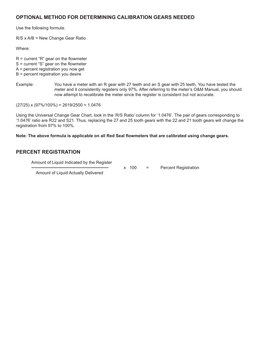#### **OPTIONAL METHOD FOR DETERMINING CALIBRATION GEARS NEEDED**

Use the following formula:

R/S x A/B = New Change Gear Ratio

Where:

- $R =$  current "R" gear on the flowmeter
- S = current "S" gear on the flowmeter
- A = percent registration you now get
- B = percent registration you desire
- Example: You have a meter with an R gear with 27 teeth and an S gear with 25 teeth, You have tested the meter and it consistently registers only 97%. After referring to the meter's O&M Manual, you should now attempt to recalibrate the meter since the register is consistent but not accurate.

 $(27/25)$  x  $(97\%/100\%)$  = 2619/2500 = 1.0476

Using the Universal Change Gear Chart, look in the 'R/S Ratio' column for '1.0476'. The pair of gears corresponding to '1.0476' ratio are R22 and S21. Thus, replacing the 27 and 25 tooth gears with the 22 and 21 tooth gears will change the registration from 97% to 100%.

**Note: The above formula is applicable on all Red Seal flowmeters that are calibrated using change gears.** 

#### **PERCENT REGISTRATION**

Amount of Liquid Indicated by the Register

x 100 = Percent Registration

Amount of Liquid Actually Delivered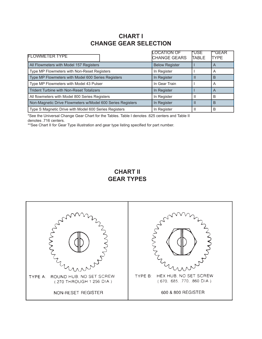## **CHART I CHANGE GEAR SELECTION**

| <b>FLOWMETER TYPE</b>                                      | <b>LOCATION OF</b><br><b>CHANGE GEARS</b> | l*USE<br><b>TABLE</b> | **GEAR<br><b>TYPE</b> |
|------------------------------------------------------------|-------------------------------------------|-----------------------|-----------------------|
| All Flowmeters with Model 157 Registers                    | <b>Below Register</b>                     |                       | $\overline{A}$        |
| Type MP Flowmeters with Non-Reset Registers                | In Register                               |                       | A                     |
| Type MP Flowmeters with Model 600 Series Registers         | In Register                               |                       | B                     |
| Type MP Flowmeters with Model 43 Pulser                    | In Gear Train                             |                       | A                     |
| <b>Trident Turbine with Non-Reset Totalizers</b>           | In Register                               |                       | A                     |
| All flowmeters with Model 800 Series Registers             | In Register                               |                       | В                     |
| Non-Magnetic Drive Flowmeters w/Model 600 Series Registers | In Register                               |                       | B                     |
| Type S Magnetic Drive with Model 600 Series Registers      | In Register                               |                       | В                     |

\*See the Universal Change Gear Chart for the Tables. Table I denotes .625 centers and Table II denotes .716 centers.

\*\*See Chart II for Gear Type illustration and gear type listing specified for part number.

### **CHART II GEAR TYPES**

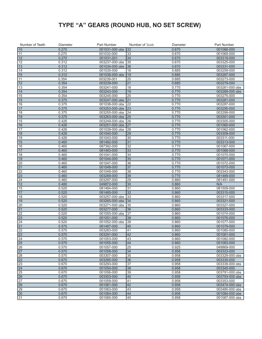# **TYPE "A" GEARS (ROUND HUB, NO SET SCREW)**

| Number of Teeth | Diameter | Part Number    | Number of Teeth | Diameter | Part Number    |
|-----------------|----------|----------------|-----------------|----------|----------------|
| 10              | 0.270    | 001031-000 obs | 32              | 0.670    | 001066-000     |
| 11              | 0.270    | 001032-000     | 33              | 0.670    | 001069-000     |
| 12              | 0.270    | 001031-001     | 34              | 0.670    | 003319-000     |
| $\sqrt{12}$     | 0.312    | 003237-000 obs | 35              | 0.670    | 003325-000     |
| 13              | 0.312    | 001034-000 obs | 36              | 0.670    | 003331-000     |
| 14              | 0.312    | 001035-000     | 18              | 0.685    | 003259-000     |
| 15              | 0.312    | 001036-000 obs | 19              | 0.685    | 003267-000     |
| 11              | 0.354    | 003239-001     | 20              | 0.685    | 003273-000     |
| 12              | 0.354    | 003239-000     | 21              | 0.685    | 003279-000     |
| 13              | 0.354    | 003241-000     | 18              | 0.770    | 003261-000 obs |
| 14              | 0.354    | 003243-000     | 19              | 0.770    | 003269-000 obs |
| 15              | 0.354    | 003245-000     | 20              | 0.770    | 003275-000     |
| 15              | 0.375    | 003247-000 obs | 21              | 0.770    | 003281-000     |
| 16              | 0.375    | 001038-000 obs | 22              | 0.770    | 003287-000     |
| 17              | 0.375    | 003253-000 obs | 23              | 0.770    | 003295-000     |
| 18              | 0.375    | 003255-000 obs | 24              | 0.770    | 003299-000     |
| 19              | 0.375    | 003263-000 obs | 25              | 0.770    | 003301-000     |
| 15              | 0.426    | 003249-000 obs | 26              | 0.770    | 003305-000     |
| 16              | 0.426    | 003251-000 obs | 27              | 0.770    | 001060-000     |
| 17              | 0.426    | 001039-000 obs | 28              | 0.770    | 001062-000     |
| 18              | 0.426    | 001040-000     | 29              | 0.770    | 003309-000     |
| 19              | 0.426    | 001043-000     | 30              | 0.770    | 003311-000     |
| 15              | 0.460    | 081482-000     | 31              | 0.770    | 003313-000     |
| 16              | 0.460    | 087392-000     | 32              | 0.770    | 001067-000     |
| 17              | 0.460    | 081483-000     | 33              | 0.770    | 001068-000     |
| 18              | 0.460    | 001041-000     | 34              | 0.770    | 001070-000     |
| 19              | 0.460    | 001044-000     | 35              | 0.770    | 001071-000     |
| $ 20\rangle$    | 0.460    | 001047-000     | 36              | 0.770    | 001072-000     |
| 21              | 0.460    | 001048-000     | $\overline{37}$ | 0.770    | 001073-000     |
| 22              | 0.460    | 001049-000     | 38              | 0.770    | 003343-000     |
| 23              | 0.460    | 003289-000     | 39              | 0.770    | 081489-000     |
| $\overline{24}$ | 0.460    | 003297-000     | $\overline{29}$ | 0.860    | 081491-000     |
| 12              | 0.480    | 049872-000     | 30              | 0.860    | N/A            |
| 15              | 0.520    | 081484-000     | 31              | 0.860    | 081509-000     |
| 17              | 0.520    | 081485-000     | 32              | 0.860    | 003315-000     |
| 18              | 0.520    | 003257-000 obs | 33              | 0.860    | 003317-000     |
| 19              | 0.520    | 003265-000 obs | 34              | 0.860    | 003321-000     |
| $ 20\rangle$    | 0.520    | 003271-000 obs | 35              | 0.860    | 003327-000     |
| $\overline{21}$ | 0.520    | 003277-000     | 36              | 0.860    | 003333-000     |
| 22              | 0.520    | 001050-000 obs | 37              | 0.860    | 001074-000     |
| 23              | 0.520    | 001051-000     | 38              | 0.860    | 001076-000     |
| $\overline{24}$ | 0.520    | 001052-000 obs | 39              | 0.860    | 001077-000     |
| 21              | 0.570    | 081487-000     | 40              | 0.860    | 001079-000     |
| 22              | 0.570    | 003283-000     | 41              | 0.860    | 001080-000     |
| 23              | 0.570    | 003291-000     | 42              | 0.860    | 001081-000     |
| 24              | 0.570    | 001053-000     | 43              | 0.860    | 001082-000     |
| 25              | 0.570    | 001055-000     | 44              | 0.860    | 001083-000     |
| 26              | 0.570    | 001057-000     | 25              | 0.925    | 049869-000     |
| 27              | 0.570    | 001058-000     | 34              | 0.958    | 003323-000     |
| 28              | 0.570    | 003307-000     | 35              | 0.958    | 003329-000 obs |
| 22              | 0.670    | 003285-000     | 36              | 0.958    | 003335-000     |
| 23              | 0.670    | 003293-000     | 37              | 0.958    | 003339-000 obs |
| 24              | 0.670    | 001054-000     | 38              | 0.958    | 003345-000     |
| $\overline{25}$ | 0.670    | 001056-000     | $\sqrt{39}$     | 0.958    | 003791-000 obs |
| 26              | 0.670    | 003303-000     | 40              | 0.958    | 003793-000 obs |
| 27              | 0.670    | 001059-000     | $\overline{41}$ | 0.958    | 003353-000     |
| 28              | 0.670    | 001061-000     | 42              | 0.958    | 003474-000 obs |
| 29              | 0.670    | 001063-000     | 43              | 0.958    | 003480-000 obs |
| 30              | 0.670    | 001064-000     | 44              | 0.958    | 001084-000 obs |
| 31              | 0.670    | 001065-000     | 45              | 0.958    | 001087-000 obs |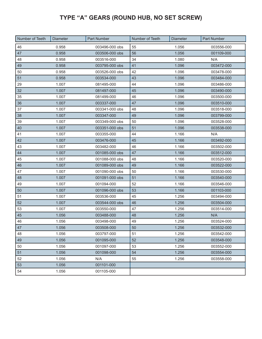# **TYPE "A" GEARS (ROUND HUB, NO SET SCREW)**

| Number of Teeth | <b>Diameter</b> | <b>Part Number</b> | Number of Teeth | <b>Diameter</b> | <b>Part Number</b> |
|-----------------|-----------------|--------------------|-----------------|-----------------|--------------------|
| 46              | 0.958           | 003496-000 obs     | 55              | 1.056           | 003556-000         |
| 47              | 0.958           | 003506-000 obs     | 56              | 1.056           | 001109-000         |
| 48              | 0.958           | 003516-000         | 34              | 1.080           | N/A                |
| 49              | 0.958           | 003795-000 obs     | 41              | 1.096           | 003472-000         |
| 50              | 0.958           | 003526-000 obs     | 42              | 1.096           | 003478-000         |
| 51              | 0.958           | 003534-000         | 43              | 1.096           | 003484-000         |
| 29              | 1.007           | 081495-000         | 44              | 1.096           | 003486-000         |
| 32              | 1.007           | 081497-000         | 45              | 1.096           | 003490-000         |
| 35              | 1.007           | 081499-000         | 46              | 1.096           | 003500-000         |
| 36              | 1.007           | 003337-000         | 47              | 1.096           | 003510-000         |
| 37              | 1.007           | 003341-000 obs     | 48              | 1.096           | 003518-000         |
| 38              | 1.007           | 003347-000         | 49              | 1.096           | 003799-000         |
| 39              | 1.007           | 003349-000 obs     | 50              | 1.096           | 003528-000         |
| 40              | 1.007           | 003351-000 obs     | 51              | 1.096           | 003538-000         |
| 41              | 1.007           | 003355-000         | 44              | 1.166           | N/A                |
| 42              | 1.007           | 003476-000         | 45              | 1.166           | 003492-000         |
| 43              | 1.007           | 003482-000         | 46              | 1.166           | 003502-000         |
| 44              | 1.007           | 001085-000 obs     | 47              | 1.166           | 003512-000         |
| 45              | 1.007           | 001088-000 obs     | 48              | 1.166           | 003520-000         |
| 46              | 1.007           | 001089-000 obs     | 49              | 1.166           | 003522-000         |
| 47              | 1.007           | 001090-000 obs     | 50              | 1.166           | 003530-000         |
| 48              | 1.007           | 001091-000 obs     | 51              | 1.166           | 003540-000         |
| 49              | 1.007           | 001094-000         | 52              | 1.166           | 003546-000         |
| 50              | 1.007           | 001096-000 obs     | 53              | 1.166           | 001103-000         |
| 51              | 1.007           | 003536-000         | 45              | 1.256           | 003494-000         |
| 52              | 1.007           | 003544-000 obs     | 46              | 1.256           | 003504-000         |
| 53              | 1.007           | 003550-000         | 47              | 1.256           | 003514-000         |
| 45              | 1.056           | 003488-000         | 48              | 1.256           | N/A                |
| 46              | 1.056           | 003498-000         | 49              | 1.256           | 003524-000         |
| 47              | 1.056           | 003508-000         | 50              | 1.256           | 003532-000         |
| 48              | 1.056           | 003797-000         | 51              | 1.256           | 003542-000         |
| 49              | 1.056           | 001095-000         | 52              | 1.256           | 003548-000         |
| 50              | 1.056           | 001097-000         | 53              | 1.256           | 003552-000         |
| 51              | 1.056           | 001098-000         | 54              | 1.256           | 003554-000         |
| 52              | 1.056           | N/A                | 55              | 1.256           | 003558-000         |
| 53              | 1.056           | 001101-000         |                 |                 |                    |
| 54              | 1.056           | 001105-000         |                 |                 |                    |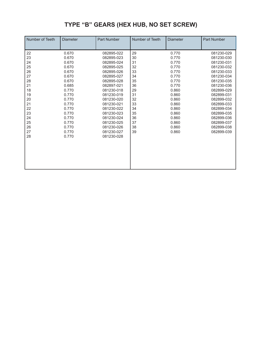# **TYPE "B" GEARS (HEX HUB, NO SET SCREW)**

| Number of Teeth | <b>Diameter</b> | <b>Part Number</b> | Number of Teeth | <b>Diameter</b> | <b>Part Number</b> |
|-----------------|-----------------|--------------------|-----------------|-----------------|--------------------|
| 22              | 0.670           | 082895-022         | 29              | 0.770           | 081230-029         |
| 23              | 0.670           | 082895-023         | 30              | 0.770           | 081230-030         |
| 24              | 0.670           | 082895-024         | 31              | 0.770           | 081230-031         |
| 25              | 0.670           | 082895-025         | 32              | 0.770           | 081230-032         |
| 26              | 0.670           | 082895-026         | 33              | 0.770           | 081230-033         |
| 27              | 0.670           | 082895-027         | 34              | 0.770           | 081230-034         |
| 28              | 0.670           | 082895-028         | 35              | 0.770           | 081230-035         |
| 21              | 0.685           | 082897-021         | 36              | 0.770           | 081230-036         |
| 18              | 0.770           | 081230-018         | 29              | 0.860           | 082899-029         |
| 19              | 0.770           | 081230-019         | 31              | 0.860           | 082899-031         |
| 20              | 0.770           | 081230-020         | 32              | 0.860           | 082899-032         |
| 21              | 0.770           | 081230-021         | 33              | 0.860           | 082899-033         |
| 22              | 0.770           | 081230-022         | 34              | 0.860           | 082899-034         |
| 23              | 0.770           | 081230-023         | 35              | 0.860           | 082899-035         |
| 24              | 0.770           | 081230-024         | 36              | 0.860           | 082899-036         |
| 25              | 0.770           | 081230-025         | 37              | 0.860           | 082899-037         |
| 26              | 0.770           | 081230-026         | 38              | 0.860           | 082899-038         |
| 27              | 0.770           | 081230-027         | 39              | 0.860           | 082899-039         |
| 28              | 0.770           | 081230-028         |                 |                 |                    |
|                 |                 |                    |                 |                 |                    |
|                 |                 |                    |                 |                 |                    |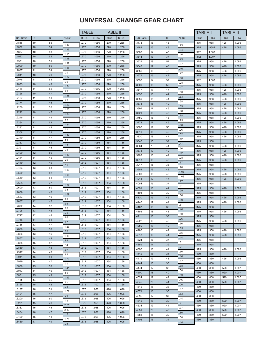|                |           |             |               | <b>TABLE I</b> |                | <b>TABLE II</b> |                |           |                |             |       | <b>TABLE I</b> |       | <b>TABLE II</b> |       |
|----------------|-----------|-------------|---------------|----------------|----------------|-----------------|----------------|-----------|----------------|-------------|-------|----------------|-------|-----------------|-------|
| R/S Ratio      | ${\sf R}$ | $\mathbf S$ | % Dif         | R Dia          | S Dia          | R Dia           | S Dia          | R/S Ratio | ${\sf R}$      | $\mathbf S$ | % Dif | R Dia          | S Dia | R Dia           | S Dia |
| .1818          | 10        | 55          | 1.87          | .270           | 1.056          | .270            | 1.256          | .3478     | 16             | 46          | .29   | .375           | .958  | .426            | 1.096 |
| .1852          | 10        | 54          | 1.89          | .270           | 1.056          | .270            | 1.256          | 3488      | 15             | 43          | .34   | .375           | .9581 | .426            | 1.096 |
| .1887          | 10        | 53          | 1.91          | .270           | 1.056          | .270            | 1.256          | .3500     | 14             | 40          | .40   | .312           | 1.007 |                 |       |
| .1923          | 10        | 52          | 1.98          | .270           | 1.056          | .270            | 1.256          | 3514      | 13             | 37          | .43   | .312           | 1.007 |                 |       |
| .1961          | 10        | 51          | 1.99          | .270           | 1.056          | .270            | 1.256          | .3529     | 18             | 51          | .37   | .375           | .958  | .426            | 1.096 |
| .2000          | 10        | 50          | 1.85          | .270           | 1.056          | .270            | 1.256          | 3542      | 17             | 48          | .40   | .375           | .958  | .426            | 1.096 |
| .2037          | 11        | 54          | .20           | .270           | 1.056          | .270            | 1.256          | 3556      | 16             | 45          | .42   | .375           | .958  | .426            | 1.096 |
| .2041          | 10        | 49          | 1.67          | .270           | 1.056          | .270            | 1.256          | .3571     | 15             | 42          | .53   | .375           | .958  | .426            | 1.096 |
| .2075          | 11        | 53          | .39           | .270           | 1.056          | .270            | 1.256          | 3590      | 14             | 39          | .28   | .312           | 1.007 |                 |       |
| .2083          | 10        | 48          | 1.54          | .270           | 1.056          | .270            | 1.256          | .3600     | 18             | 50          | .47   | .375           | .958  | .426            | 1.096 |
| .2115          | 11        | 52          | .61           | .270           | 1.056          | .270            | 1.256          | .3617     | 17             | 47          | .53   | .375           | .958  | .426            | 1.096 |
| .2128          | 10        | 47          | 1.36          | .270           | 1.056          | .270            | 1.256          | .3636     | 16             | 44          | .63   | .375           | .958  | .426            | 1.096 |
| .2157          | 11        | 51          | .79           | .270           | 1.056          | .270            | 1.256          | .3659     | 15             | 41          | .38   | .375           | .958  | .426            | 1.096 |
| .2174          | 10        | 46          | 1.20          | .270           | 1.056          | .270            | 1.256          | .3673     | 18             | 49          | .63   | .375           | .958  | .426            | 1.096 |
| .2200          | 11        | 50          | 1.00          | .270           | 1.056          | .270            | 1.256          | .3696     | 17             | 46          | .68   | .375           | .958  | .426            | 1.096 |
| .2222          | 10        | 45          | 1.04          | .270           | 1.056          | .270            | 1.256          | .3721     | 16             | 43          | .78   | .375           | .958  | .426            | 1.096 |
| .2245          | 11        | 49          | .85           | .270           | 1.056          | .270            | 1.256          | .3750     | 18             | 48          | .75   | .375           | .958  | .426            | 1.096 |
| .2264          | 12        | 53          | 1.24          | .270           | 1.056          | .270            | 1.256          | 3778      | 17             | 45          | .58   | .375           | .958  | .426            | 1.096 |
| .2292          | 11        | 48          | .70           | .270           | 1.056          | .270            | 1.256          | .3800     | 19             | 50          | .26   | .375           | .958  | .426            | 1.096 |
| .2308          | 12        | 52          | 1.39          | .270           | 1.056          | .270            | 1.256          | .3810     | 16             | 42          | .52   | .375           | .958  | .426            | 1.096 |
| .2340          | 11        | 47          |               | .270           | 1.056          | .270            | 1.256          | .3830     | 18             | 47          | .42   | .375           | .958  | .426            | 1.096 |
| .2353          | 12        | 51          | .56           | .270           | 1.056          | .354            | 1.166          | 3846      | 15             | 39          | .47   | .375           | .958  |                 |       |
| .2391          | 11        | 46          | 1.61          | .270           | 1.056          | .354            | 1.166          | .3864     | $\overline{7}$ | 44          | .36   | .375           | .958  | .426            | 1.096 |
| .2400          | 12        | 50          | .38           | .270           | 1.056          | .354            | 1.166          | .3878     | 19             | 49          | .62   | .375           | .958  | .426            | 1.096 |
| .2444          | 11        | 45          | 1.83          | .270           | 1.056          | .354            | 1.166          | 3902      | 16             | 41          | .28   | .375           | .958  | .426            | 1.096 |
|                |           |             | .20           |                |                |                 |                | .3913     | 18             | 46          | .87   | .375           | .958  | .426            | 1.096 |
| .2449          | 12        | 49          | .16           | .312           | 1.007          | .354            | 1.166          | .3947     | 15             | 38          | .28   | .375           | .958  |                 |       |
| .2453          | 13        | 53          | 1.92          | .312           | 1.007          | .354            | 1.166          | 3958      | 19             | 48          | 1.06  | .375           | .958  | .426            | 1.096 |
| .2500          | 13        | 52          | 1.96          | .312           | 1.007          | .354            | 1.166          | 4000      | 18             | 45          | 1.08  | .375           | .958  | .426            | 1.096 |
| .2549          | 13        | 51          | .16           | .312           | 1.007          | .354            | 1.166          | 4043      | 19             | 47          | .27   | .375           | .958  | .426            | 1.096 |
| .2553          | 12        | 47          | 1.84          | .312           | 1.007          | .354            | 1.166          | 4054.     | 15             | 37          | .91   | .375           | .958  |                 |       |
| .2600          | 13        | 50          | .35           | .312           | 1.007          | .354            | 1.166          | .4091     | 18             | 44          | .29   | .375           | .958  | .426            | 1.096 |
| .2609          | 12        | 46          | 1.69          | .312           | 1.007          | .354            | 1.166          | .4103     | 16             | 39          | .66   | .375           | .958  |                 |       |
| .2653          | 13        | 49          | .53           | .312           | 1.007          | .354            | 1.166          | .4130     | 19             | 46          | .39   | .375           | .958  | .426            | 1.096 |
| .2667          | 12        | 45          | .94           | .312           | 1.007          | .354            | 1.166          | .4146     | 17             | 41          | .51   | .375           | .958  | .426            | 1.096 |
| .2692          | 14        | 52          | .60           | .312           | 1.007          | .354            | 1.166          | .4167     | 15             | 36          | .46   | .375           | .958  |                 |       |
| .2708          | 13        | 48          | .70           | .312           | 1.007          | .354            | 1.166          | .4186     | 18             | 43          | .60   | .375           | .958  | .426            | 1.096 |
| .2727          | 12        | 44          | .66           | .312           | 1.007          | .354            | 1.166          | 4211      | 16             | 38          | .26   | .375           | .958  |                 |       |
| .2745          | 14        | 51          | $\frac{1}{2}$ | .312           | 1.007          | .354            | 1.166          | 4222      | 19             | 45          | .66   | 375            | .958  | 426             | 1.096 |
| .2766          | 13        | 47          | 1.23          | .312           | 1.007          | .354            | 1.166          | 4250      | 17             | 40          | .85   | .375           | .958  |                 |       |
| .2800          | 14        | 50          | .93           | .312           | 1.007          | .354            | 1.166          | 4286      | 18             | 42          | .75   | .375           | .958  | .426            | 1.096 |
| .2826          | 13        | 46          | 1.10          | .312           | 1.007          | .354            | 1.166          | .4318     | 19             | 44          | .14   | .375           | .958  | .426            | 1.096 |
| .2857          | 14<br>15  | 49<br>52    | .98           | .312<br>.312   | 1.007<br>1.007 | .354<br>.354    | 1.166<br>1.166 | .4324     | 16             | 37          | .81   | .375           | .958  |                 |       |
| .2885          | 13        | 45          | .14           |                | 1.007          |                 |                | .4359     | 17             | 39          | .71   | .375           | .958  |                 |       |
| .2889          | 14        | 48          | .97           | .312           |                | .354            | 1.166          | .4390     | 18             | 41          | .50   | .375           | .958  | .426            | 1.096 |
| .2917<br>.2941 | 15        | 51          | .82           | .312<br>.312   | 1.007<br>1.007 | .354<br>.354    | 1.166<br>1.166 | 4412      | 15             | 34          | .16   | .460           | .860  |                 |       |
| .2979          | 14        | 47          | 1.29          | .312           | 1.007          | .354            | 1.166          | .4419     | 19             | 43          | .57   | .460           | .860  | .426            | 1.096 |
| .3000          | 15        | 50          | .70           | .312           | 1.007          | .354            | 1.166          | 4444      | 16             | 36          | .68   | .460           | .860  |                 |       |
| .3043          | 14        | 46          | 1.43          | .312           | 1.007          | .354            | 1.166          | 4474      | 17             | 38          | .58   | .460           | .860  | .520            | 1.007 |
| .3061          | 15        | 49          | .59           | .312           | 1.007          | .354            | 1.166          | .4500     | 18             | 40          | .53   | .460           | .860  | .520            | 1.007 |
| .3111          | 14        | 45          | 1.63          | .312           | 1.007          | .354            | 1.166          | .4524     | 19             | 42          | .46   | .460           | .860  | .520            | 1.007 |
| .3125          | 15        | 48          | .45           | .312           | 1.007          | .354            | 1.166          | .4545     | 20             | 44          | .00   | .460           | .860  | .520            | 1.007 |
| .3137          | 16        | 51          | .38           | .375           | .958           | .426            | 1.096          | .4545     | 15             | 33          | .57   | .460           | .860  |                 |       |
| .3191          | 15        | 47          | 1.72          | .375           | .958           | .426            | 1.096          | 4571      | 16             | 35          | .53   | .460           | .860  |                 |       |
| .3200          | 16        | 50          | .28           | .375           | .958           | .426            | 1.096          | .4595     | 17             | 37          | .44   | .460           | .860  |                 |       |
| .3261          | 15        | 46          | 1.91          | .375           | .958           | .426            | 1.096          | .4615     | 18             | 39          | .41   | .460           | .860  | .520            | 1.007 |
| .3333          | 15        | 45          | 2.21          | .375           | .958           | .426            | 1.096          | .4634     | 19             | 41          | .37   | .460           | .860  | .520            | 1.007 |
| .3404          | 16        | 47          | 2.13          | .375           | .958           | .426            | 1.096          | 4651      | 20             | 43          | .80   | .460           | .860  | .520            | 1.007 |
| .3409          | 15        | 44          | .15           | .375           | .958           | .426            | 1.096          | 4688      | 15             | 32          | .38   | .460           | .860  | .520            | 1.007 |
| .3469          | 17        | 49          | 1.76          | .375           | .958           | .426            | 1.096          | .4706     | 16             | 34          | .34   | .460           | .860  |                 |       |
|                |           |             | .26           |                |                |                 |                |           |                |             |       |                |       |                 |       |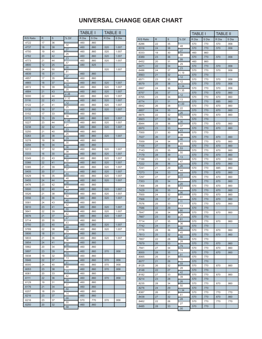|                |          |          |            | TABLE I      |              | TABLE II |       |
|----------------|----------|----------|------------|--------------|--------------|----------|-------|
| R/S Ratio      | R        | S        | % Dif      | R Dia        | S Dia        | R Dia    | S Dia |
| .4722          | 17       | 36       |            | .460         | .860         |          |       |
| .4737          | 18       | 38       | .32        | .460         | .860         | .520     | 1.007 |
| .4750          | 19       | 40       | .27        | .460         | .860         | .520     | 1.007 |
| .4762          | 20       | 42       | .25        | .460         | .860         | .520     | 1.007 |
| .4773          | 21       | 44       | .23        | .460         | .860         | .520     | 1.007 |
| .4800          | 12       | 25       | .57<br>.00 | .480         | .925         |          |       |
| .4800          | 24       | 50       |            |              |              | .520     | 1.007 |
| .4839          | 15       | 31       | .81<br>.37 | .460         | .860         |          |       |
| .4857          | 17       | 35       | .16        | .460         | .860         |          |       |
| .4865          | 18       | 37       | .14        | .460         | .860         | .520     | 1.007 |
| .4872          | 19       | 39       | .25        | .460         | .860         | .520     | 1.007 |
| .4884          | 21       | 43       | 2.38       | .460         | .860         | .520     | 1.007 |
| .5000          | 22       | 44       | 2.32       | .460         | .860         | .520     | 1.007 |
| .5116          | 22       | 43       | .12        | .460         | .860         | .520     | 1.007 |
| .5122          | 21       | 41       | .25        | .460         | .860         | .520     | 1.007 |
| .5135          | 19       | 37       | .33        | .460         | .860         | .520     | 1.007 |
| .5152          | 17       | 33       | .39        | .460         | .860         |          |       |
| .5172          | 15       | 29       | 1.06       | .460         | .860         | .520     | 1.007 |
| .5227          | 23       | 44       | .21        | .460         | .860         | .520     | 1.007 |
| .5238          | 22       | 42       | .23        | .460         | .860         | .520     | 1.007 |
| .5250          | 21       | 40       | .25        | .460         | .860         |          |       |
| .5263          | 20       | 38       | .29        | .460         | .860         | .520     | 1.007 |
| .5278          | 19       | 36       | .30        | .460         | .860         |          |       |
| .5294          | 18       | 34       | .36        | .460         | .860         |          |       |
| .5313          | 17       | 32       | .38        | .460         | .860         | .520     | 1.007 |
| .5333          | 16       | 30       | .30        | .460         | .860         | .520     | 1.007 |
| .5349          | 23       | 43       | .32        | .460         | .860         | .520     | 1.007 |
| .5366          | 22       | 41       | .35        | .460         | .860         | .520     | 1.007 |
| .5385          | 21       | 39       | .37        | .460         | .860         | .520     | 1.007 |
| .5405          | 20       | 37       | .44        | .460         | .860         | .520     | 1.007 |
| .5429          | 19       | 35       | .48        | .460         | .860         | .520     | 1.007 |
| .5455          | 24       | 44       | .38        | .460         | .860         | .520     | 1.007 |
| .5476          | 23       | 42       | .44        | .460         | .860         |          |       |
| .5500          | 22       | 40       | .47        | .460         | .860         | .520     | 1.007 |
| .5526          | 21       | 38       | .54        | .460         | .860         | .520     | 1.007 |
| .5556          | 20<br>24 | 36       | .45        | .460         | .860         | .520     | 1.007 |
| .5581<br>.5610 | 23       | 43<br>41 | .52        | .460<br>.460 | .860<br>.860 | .520     | 1.007 |
| .5641          | 22       | 39       | .55        | .460         | .860         | .520     | 1.007 |
| .5676          | 21       | 37       | .62        | .460         | .860         | .520     | 1.007 |
| .5714          | 20       | 35       | .67        | .460         | .860         |          |       |
| .5750          | 23       | 40       | .63        | .460         | .860         | .520     | 1.007 |
| .5789          | 22       | 38       | .68        | .460         | .860         | .520     | 1.007 |
| .5806          | 18       | 31       | .29        | .460         | .860         |          |       |
| .5833          | 21       | 36       | .47        | .460         | .860         | .520     | 1.007 |
| .5854          | 24       | 41       | .36        | .460         | .860         |          |       |
| .5882          | 20       | 34       | .48        | .460         | .860         |          |       |
| .5897          | 23       | 39       | .26        | .460         | .860         | .570     | .958  |
| .5938          | 19       | 32       | .70        | .460         | .860         |          |       |
| .5946          | 22       | 37       | .13        | .460         | .860         | .570     | .958  |
| .6000          | 24       | 40       | .91        | .460         | .860         | .570     | .958  |
| .6053          | 23       | 38       | .88        | .460         | .860         | .570     | .958  |
| .6061          | 20       | 33       | .13        | .460         | .860         |          |       |
| .6111          | 22       | 36       | .82        | .460         | .860         | .570     | .958  |
| .6129          | 19       | 31       | .29        | .460         | .860         |          |       |
| .6176          | 21       | 34       | .77        | .460         | .860         |          |       |
| .6207          | 18       | 29       | .50        | .460         | .860         |          |       |
| .6216          | 23       | 37       | .14        | .460         | .860         |          |       |
| .6216          | 23       | 37       | .00        | .570         | .770         | .570     | .958  |
| .6250          | 20       | 32       | .55        | .460         | .860         |          |       |
|                |          |          | .58        |              |              |          |       |

|                |              |          |            | <b>TABLE I</b> |              | <b>TABLE II</b> |              |
|----------------|--------------|----------|------------|----------------|--------------|-----------------|--------------|
| R/S Ratio      | $\mathsf{R}$ | S        | % Dif      | R Dia          | S Dia        | R Dia           | S Dia        |
| .6286          | 22           | 35       |            | .570           | .770         | .570            | .958         |
| .6316          | 24           | 38       | .48<br>.27 | .570           | .770         | .570            | .958         |
| .6333          | 19           | 30       | .88        | .460           | .860         |                 |              |
| .6389          | 23           | 36       | .99        | .570           | .770         | .570            | .958         |
| .6452          | 20           | 31       | .29        | .460           | .860         |                 |              |
| .6471          | 22           | 34       | .23        | .570           | .770         | .570            | .958         |
| .6486          | 24           | 37       | 1.19       | .570           | .770         | .570            | .958         |
| .6563          | 21           | 32       | .12        | .570           | .770         |                 |              |
| .6571          | 23           | 35       | .12        | .570           | .770         | .570            | .958         |
| .6579          | 25           | 38       | 1.34       | .570           | .770         | .570            | .958         |
| .6667          | 24           | 36       | 1.35       | .570           | .770         | .570            | .958         |
| .6757          | 25           | 37       | .12        | .570           | .770         | .670            | .860         |
| .6765          | 23           | 34       | .13        | .570           | .770         | .670            | .860         |
| .6774          | 21           | 31       | 1.00       | .570           | .770         | .685            | .860         |
| .6842          | 26           | 38       | .22        | .570           | .770         | .670            | .860         |
| .6857          | 24           | 35       | .26        | .570           | .770         | .670            | .860         |
| .6875          | 22           | 32       | .70        | .570           | .770         | .670            | .860         |
| .6923          | 27           | 39       | .30        | .570           | .770         |                 |              |
| .6944          | 25           | 36       | .37        | .570           | .770         | .670            | .860         |
| .6970          | 23           | 33       | .43        | .570           | .770         | .670            | .860         |
| .7000          | 21           | 30       | .39        | .570           | .770         |                 |              |
| .7027          | 26           | 37       | .46        | .570           | .770         | .670            | .860         |
| .7059          | 24           | 34       | .65        | .570           | .770         | .670            | .860         |
| .7105          | 27           | 38       | .53        | .570           | .770         | .670            | .860         |
| .7143          | 25           | 35       | .50        | .570           | .770         | .670            | .860         |
| .7179          | 28           | 39       | .13        | .570           | .770         | .670            | .860         |
| .7188          | 23           | 32       | .47        | .570           | .770         | .670            | .860         |
| .7222          | 26           | 36       | .26        | .570           | .770         | .670            | .860         |
| .7241          | 21           | 29       | .44        | .570           | .770         | .685            | .860         |
| .7273          | 24           | 33       | .33        | .570           | .770         | .670            | .860         |
| .7297          | 27           | 37       | .77        | .570           | .770         | .670            | .860         |
| .7353          | 25           | 34       | .20        | .570           | .770         | .670            | .860         |
| .7368          | 28           | 38       | .83        | .570           | .770         | .670            | .860         |
| .7429          | 26           | 35       | .96        | .570           | .770         | .670            | .860         |
| .7500          | 24           | 32       | .91        | .570           | .770         | .670            | .860         |
| .7568          | 28           | 37       | .11        | .570           | .770         | .670            | .860         |
| .7576          | 25           | 33       | .13        | .570           | .770         | .670            | .860         |
| .7586          | 22           | 29       | .80        | .570           | .770         |                 |              |
| .7647          | 26           | 34       | .26        | .570           | .770         | .670            | .860         |
| .7667          | 23           | 30       | .61        | .570           | .770         |                 |              |
| .7714<br>.7742 | 27<br>24     | 35       | .36        | .570           | .770         | .670            | .860         |
|                |              | 31       | .46        | .570           | .770         |                 |              |
| .7778          | 28           | 36       | .45        | .570           | .770         | .670            | .860         |
| .7813<br>.7857 | 25<br>22     | 32<br>28 | .56        | .570<br>.570   | .770         | .670            | .860         |
| .7879          | 26           | 33       | .28        | .570           | .770         |                 | .860         |
| .7941          | 27           | 34       | .79        | .570           | .770         | .670            |              |
| .8000          | 28           | 35       | .74        | .570           | .770<br>.770 | .670<br>.670    | .860<br>.860 |
| .8065          | 25           | 31       | .81        | .570           | .770         |                 |              |
| .8077          | 21           | 26       | .15        | .570           |              |                 |              |
| .8125          | 26           | 32       | .59        | .570           | .770<br>.770 | .670            | .860         |
| .8148          | 22           | 27       | .28        | .570           | .770         |                 |              |
| .8182          | 27           | 33       | .42        | .570           | .770         | .670            | .860         |
| .8214          | 23           | 28       | .39        | .570           | .770         |                 |              |
| .8235          | 28           | 34       | .26        | .570           | .770         | .670            | .860         |
| .8276          | 24           | 29       | .50        | .570           | .770         |                 |              |
| .8387          | 26           | 31       | 1.34       | .570           | .770         | .770            | .770         |
| .8438          | 27           | 32       | .61        | .570           |              |                 | .860         |
|                | 22           | 26       | .28        |                | .770         | .670            |              |
| .8462          |              |          | .27        | .570           | .770         | .770            | .770         |
| .8485          | 28           | 33       | .00        | .570           | .770         |                 |              |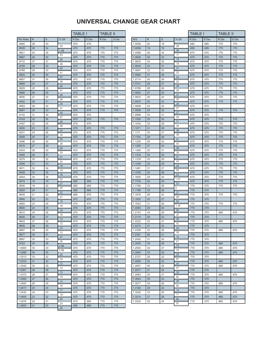|                |              |          |            | TABLE I      |              | TABLE II     |              |
|----------------|--------------|----------|------------|--------------|--------------|--------------|--------------|
| R/s Ratio      | $\mathsf{R}$ | S        | % Dif      | R Dia        | S Dia        | R Dia        | S Dia        |
| .8485          | 28           | 33       |            | .670         | .670         |              |              |
| .8529          | 29           | 34       | .52        | .670         | .670         | .770         | .770         |
| .8621          | 25           | 29       | 1.08       | .670         | .670         | .770         | .770         |
| .8667          | 26           | 30       | .53        | .670         | .670         | .770         | .770         |
| .8710          | 27           | 31       | .50        | .670         | .670         | .770         | .770         |
| .8750          | 28           | 32       | .46        | .670         | .670         | .770         | .770         |
| .8788          | 29           | 33       | .43        | .670         | .670         | .770         | .770         |
| .8824          | 30           | 34       | .41        | .670         | .670         | .770         | .770         |
| .8857          | 31           | 35       | .37        | .670         | .670         | .770         | .770         |
| .8889          | 24           | 27       | .36        | .670         | .670         | .770         | .770         |
| .8929          | 25           | 28       | .45        | .670         | .670         | .770         | .770         |
| .8966          | 26           | 29       | .41        | .670         | .670         | .770         | .770         |
| .9000          | 27           | 30       | .38<br>.36 | .670         | .670         | .770         | .770         |
| .9032          | 28           | 31       | .34        | .670         | .670         | .770         | .770         |
| .9063          | 29           | 32       |            | .670         | .670         | .770         | .770         |
| .9091          | 30           | 33       | .31<br>.30 | .670         | .670         | .770         | .770         |
| .9118          | 31           | 34       | .27        | .670         | .670         |              |              |
| .9143          | 32           | 35       | .26        | .670         | .670         | .770         | .770         |
| .9167          | 22           | 24       | .36        | .670         | .670         |              |              |
| .9200          | 23           | 25       | .34        | .670         | .670         | .770         | .770         |
| .9231          | 24           | 26       | .30        | .670         | .670         | .770         | .770         |
| .9259          | 25           | 27       | .29        | .670         | .670         | .770         | .770         |
| .9286          | 26           | 28       | .26        | .670         | .670         | .770         | .770         |
| .9310          | 27           | 29       | .25        | .670         | .670         | .770         | .770         |
| .9333          | 28           | 30       | .24        | .670         | .670         | .770         | .770         |
| .9355          | 29           | 31       | .21        | .670         | .670         | .770         | .770         |
| .9375          | 30           | 32       | .20        | .670         | .670         | .770         | .770         |
| .9394          | 31           | 33       | .18        | .670         | .670         | .770         | .770         |
| .9411          | 32           | 34       | .19        | .670         | .670         | .770         | .770         |
| .9429          | 33           | 35       | .16        | .670         | .670         | .770         | .770         |
| .9444          | 34           | 36       | .32        | .670         | .670         | .770         | .770         |
| .9474          | 18           | 19       | .27        | .685         | .685         | .770         | .770         |
| .9500          | 19           | 20       | .25        | .685         | .685         | .770         | .770         |
| .9524          | 20           | 21       | .22        | .685         | .685         | .770         | .770         |
| .9545          | 21           | 22       | .21        | .685         | .670         | .770         | .770         |
| .9565          | 22           | 23       | .19        | .670         | .670         | .770         | .770         |
| .9583          | 23           | 24       | .18        | .670         | .670         | .770         | .770         |
| .9600          | 24           | 25       | .16        | .670         | .670         | .770         | .770         |
| .9615<br>.9630 | 25<br>26     | 26<br>27 | .16        | .670<br>.670 | .670<br>.670 | .770<br>.770 | .770<br>.770 |
|                |              |          | .13        |              |              |              |              |
| 9643<br>.9655  | 27<br>28     | 28<br>29 | .12        | .670<br>.670 | .670<br>.670 | .770<br>.770 | .770<br>.770 |
| .9667          | 29           | 30       | .12        | .670         | .670         | .770         | .770         |
| .9677          | 30           | 31       | .10        | .670         | .670         | .770         | .770         |
| .9697          | 32           | 33       | .21        | .670         | .670         | .770         | .770         |
| .9722          | 35           | 36       | .26        | .670         | .670         | .770         | .770         |
| 1.0000         | 33           | 33       | 2.86       | .670         | .670         | .770         | .770         |
| 1.0286         | 36           | 35       | 2.86       | .670         | .670         | .770         | .770         |
| 1.0313         | 33           | 32       | .26        | .670         | .670         | .770         | .770         |
| 1.0333         | 31           | 30       | .19        | .670         | .670         | .770         | .770         |
| 1.0345         | 30           | 29       | .12        | .670         | .670         | .770         | .770         |
| 1.0357         | 29           | 28       | .12        | .670         | .670         | .770         | .770         |
| 1.0370         | 28           | 27       | .13        | .670         | .670         | .770         | .770         |
| 1.0385         | 27           | 26       | .14        | .670         | .670         | .770         | .770         |
| 1.0400         | 26           | 25       | .14        | .670         | .670         | .770         | .770         |
| 1.0417         | 25           | 24       | .16        | .670         | .670         | .770         | .770         |
| 1.0435         | 24           | 23       | .17        | .670         | .670         | .770         | .770         |
| 1.0455         | 23           | 22       | .19        | .670         | .670         | .770         | .770         |
| 1.0476         | 22           | 21       | .20        | .670         | .685         | .770         | .770         |
| 1.0500         | 21           | 20       | .23        | .685         | .685         | .770         | .770         |
|                |              |          | .25        |              |              |              |              |

|                  |              |             |            | <b>TABLE I</b> |              | <b>TABLE II</b> |              |
|------------------|--------------|-------------|------------|----------------|--------------|-----------------|--------------|
| R/S              | $\mathsf{R}$ | $\mathbf S$ | % Dif      | R Dia.         | S Dia        | R Dia           | S Dia        |
| 1.0526           | 20           | 19          |            | .685           | .685         | .770            | .770         |
| 1.0556           | 19           | 18          | .29        | .685           | .685         | .770            | .770         |
| 1.0588           | 36           | 34          | .30        | .670           | .670         | .770            | .770         |
| 1.0606           | 35           | 33          | .17        | .670           | .670         | .770            | .770         |
| 1.0625           | 34           | 32          | .18<br>.19 | .670           | .670         | .770            | .770         |
| 1.0645           | 33           | 31          | .21        | .670           | .670         | .770            | .770         |
| 1.0667           | 32           | 30          | .22        | .670           | .670         | .770            | .770         |
| 1.0690           | 31           | 29          | .22        | .670           | .670         | .770            | .770         |
| 1.0714           | 30           | 28          | .25        | .670           | .670         | .770            | .770         |
| 1.0741           | 29           | 27          | .26        | .670           | .670         | .770            | .770         |
| 1.0769           | 28           | 26          | .29        | .670           | .670         | .770            | .770         |
| 1.0800           | 27           | 25          | .31        | .670           | .670         | .770            | .770         |
| 1.0833           | 26           | 24          | .34        | .670           | .670         | .770            | .770         |
| 1.0870           | 25           | 23          | .36        | .670           | .670         | .770            | .770         |
| 1.0909           | 24           | 22          | .27        | .670           | .670         |                 |              |
| 1.0938           | 35           | 32          | .27        | .670           | .670         | .770            | .770         |
| 1.0968           | 34           | 31          | .29        | .670           | .670         |                 |              |
| 1.1000           | 33           | 30          | .31        | .670           | .670         | .770            | .770         |
| 1.1034           | 32           | 29          | .34        | .670           | .670         | .770            | .770         |
| 1.1071           | 31           | 28          | .36        | .670           | .670         | .770            | .770         |
| 1.1111<br>1.1154 | 30<br>29     | 27          | .39        | .670           | .670         | .770            | .770         |
|                  | 28           | 26<br>25    | .41        | .670           | .670         | .770            | .770<br>.770 |
| 1.1200<br>1.1250 | 27           | 24          | .45        | .670           | .670         | .770            |              |
| 1.1290           | 35           | 31          | .36        | .670<br>.670   | .670<br>.670 | .770<br>.770    | .770<br>.770 |
| 1.1333           | 34           | 30          | .38        | .670           | .670         | .770            | .770         |
| 1.1379           | 33           | 29          | .41        | .670           | .670         | .770            | .770         |
| 1.1429           | 32           | 28          | .44        | .670           | .670         | .770            | .770         |
| 1.1481           | 31           | 27          | .45        | .670           | .670         | .770            | .770         |
| 1.1538           | 30           | 26          | .50        | .670           | .670         | .770            | .770         |
| 1.1600           | 29           | 25          | .54        | .670           | .670         | .770            | .770         |
| 1.1724           | 34           | 29          | 1.07       | .670           | .670         | .770            | .770         |
| 1.1786           | 33           | 28          | .53        | .770           | .570         | .770            | .770         |
| 1.1786           | 33           | 28          | 0          | .770           | .570         |                 |              |
| 1.1818           | 26           | 22          | .27        | .770           | .570         | .770            | .770         |
| 1.1852           | 32           | 27          | .29        | .770           | .570         |                 |              |
| 1.1923           | 31           | 26          | .60        | .770           | .570         | .770            | .770         |
| 1.2083           | 29           | 24          | 1.34       | .770           | .570         |                 |              |
| 1.2143           | 34           | 28          | .50<br>.26 | .770           | .570         | .860            | .670         |
| 1.2174           | 28           | 23          | .39        | .770           | .570         |                 |              |
| 1.2222           | 33           | 27          | .42        | .770           | .570         | .860            | .670         |
| 1.2273           | 27           | 22          | .29        | .770           | .570         |                 |              |
| 1.2308           | 32           | 26          | .59        | .770           | .570         | .860            | .670         |
| 1.2381           | 26           | 21          | .15        | .770           | .570         |                 |              |
| 1.2400           | 31           | 25          | .81        | .770           | .570         |                 |              |
| 1.2500           | 35           | 28          | .74        | .770           | .570         | .860            | .670         |
| 1.2593           | 34           | 27          | .79        | .770           | .570         | .860            | .670         |
| 1.2692           | 33           | 26          | .28        | .770           | .570         | .860            | .670         |
| 1.2727           | 28           | 22          | .57        | .770           | .570         |                 |              |
| 1.2800           | 32           | 25          | .45        | .770           | .570         | .860            | .670         |
| 1.2857<br>1.2917 | 36           | 28<br>24    | .47        | .770           | .570         | .860            | .670         |
| 1.2963           | 31           |             | .36        | .770           | .570         |                 |              |
| 1.3043           | 35<br>30     | 27<br>23    | .62        | .770<br>.770   | .570<br>.570 | .860            | .670         |
| 1.3077           | 34           | 26          | .26        | .770           | .570         | .860            | .670         |
| 1.3182           | 29           | 22          | .80        | .770           | .570         |                 |              |
| 1.3200           | 33           | 25          | .14        | .770           | .570         | .860            | .670         |
| 1.3214           | 37           | 28          | .11        | .770           | .570         | .860            | .670         |
| 1.3333           | 32           | 24          | .90        | .770           | .570         | .860            | .670         |
|                  |              |             | .97        |                |              |                 |              |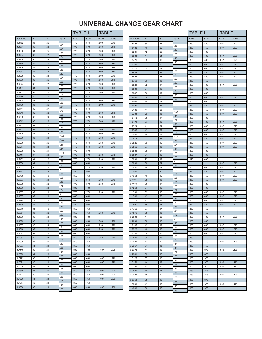|           |        |             |                  | <b>TABLE I</b> |       | <b>TABLE II</b> |       |           |  |             |             | <b>TABLE I</b>      |       | <b>TABLE II</b> |       |       |
|-----------|--------|-------------|------------------|----------------|-------|-----------------|-------|-----------|--|-------------|-------------|---------------------|-------|-----------------|-------|-------|
| R/S Ratio | $\,$ R | $\mathsf S$ | % Dif            | R Dia          | S Dia | R Dia           | S Dia | R/S Ratio |  | $\mathsf R$ | $\mathbb S$ | % Dif               | R Dia | S Dia           | R Dia | S Dia |
| 1.3462    | 35     | 26          | .81              | .770           | .570  | .860            | .670  | 1.8095    |  | 38          | 21          |                     | .860  | .460            | 1.007 | .520  |
| 1.3571    | 38     | 28          | .21              | .770           | .570  | .860            | .670  | 1.8182    |  | 40          | 22          | .48                 | .860  | .460            | 1.007 | .520  |
| 1.3600    | 34     | 25          | .76              | .770           | .570  | .860            | .670  | 1.8261    |  | 42          | 23          | .43                 | .860  | .460            |       |       |
| 1.3704    | 37     | 27          | .34              | .770           | .570  | .860            | .670  | 1.8333    |  | 44          | 24          | .39                 | .860  | .460            | 1.007 | .520  |
| 1.3750    | 33     | 24          | .44              | .770           | .570  | .860            | .670  | 1.8421    |  | 35          | 19          | .48                 | .860  | .460            | 1.007 | .520  |
| 1.3810    | 29     | 21          | .26              | .770           | .570  | .860            | .670  | 1.8500    |  | 37          | 20          | .43                 | .860  | .460            | 1.007 | .520  |
| 1.3846    | 36     | 26          | .48              | .770           | .570  | .860            | .685  | 1.8571    |  | 39          | 21          | .38                 | .860  | .460            | 1.007 | .520  |
| 1.3913    | 32     | 23          | .12              | .770           | .570  | .860            | .670  | 1.8636    |  | 41          | 22          | .35                 | .860  | .460            | 1.007 | .520  |
| 1.3929    | 39     | 28          | .51              | .770           | .570  | .860            | .670  | 1.8696    |  | 43          | 23          | .32                 | .860  | .460            | 1.007 | .520  |
| 1.4000    | 35     | 25          | .53              | .770           | .570  | .860            | .670  | 1.8750    |  | 30          | 16          | .29                 | .860  | .460            |       |       |
| 1.4074    | 38     | 27          | .66              | .770           | .570  | .860            | .670  | 1.8824    |  | 32          | 17          | .39                 | .860  | .460            | 1.007 | .520  |
| 1.4167    | 34     | 24          | .45              | .770           | .570  | .860            | .670  | 1.8889    |  | 34          | $18$        | .35                 | .860  | .460            |       |       |
| 1.4231    | 37     | 26          | .39              | .770           | .570  | .860            | .670  | 1.8947    |  | 36          | 19          | .31                 | .860  | .460            |       |       |
| 1.4286    | 30     | 21          | .43              | .770           | .570  |                 |       | 1.9000    |  | 38          | 20          | .28                 | .860  | .460            | 1.007 | .520  |
| 1.4348    | 33     | 23          | .36              | .770           | .570  | .860            | .670  | 1.9048    |  | 40          | 21          | .25                 | .860  | .460            |       |       |
| 1.4400    | 36     | 25          | .31              | .770           | .570  | .860            | .670  | 1.9091    |  | 42          | 22          | .23                 | .860  | .460            | 1.007 | .520  |
| 1.4444    | 39     | 27          | .70              | .770           | .570  |                 |       | 1.9130    |  | 44          | 23          | .20                 | .860  | .460            | 1.007 | 520   |
| 1.4545    | 32     | 22          | .26              | .770           | .570  | .860            | .670  | 1.9333    |  | 29          | 15          | 1.06                | .860  | .460            | 1.007 | .520  |
| 1.4583    | 35     | 24          | .22              | .770           | .570  | .860            | .670  | 1.9412    |  | 33          | 17          | .41                 | .860  | .460            |       |       |
| 1.4615    | 38     | 26          | 1.01             | .770           | .570  | .860            | .670  | 1.9474    |  | 37          | 19          | .32                 | .860  | .460            | 1.007 | .520  |
| 1.4762    | 31     | 21          | .14              | .770           | .570  |                 |       | 1.9524    |  | 41          | 21          | .26                 | .860  | .460            | 1.007 | .520  |
| 1.4783    | 34     | 23          | .11              | .770           | .570  | .860            | .670  | 1.9545    |  | 43          | 22          | .11                 | .860  | .460            | 1.007 | 520   |
| 1.4800    | 37     | 25          | 1.35             | .770           | .570  | .860            | .670  | 2.0000    |  | 44          | 22          | 2.33                | .860  | .460            | 1.007 | .520  |
| 1.5000    | 36     | 24          | 1.33             | .770           | .570  | .958            | .570  | 2.0476    |  | 43          | 21          | 2.38                | .860  | .460            | 1.007 | 520   |
| 1.5200    | 38     | 25          |                  | .770           | .570  | .958            | .570  | 2.0526    |  | 39          | 19          | .15                 | .860  | .460            | 1.007 | .520  |
| 1.5217    | 35     | 23          | .11              | .770           | .570  | .958            | .570  | 2.0556    |  | 37          | $18$        | .24                 | .860  | .460            | 1.007 | .520  |
| 1.5238    | 32     | 21          | .14              | .770           | .570  |                 |       | 2.0588    |  | 35          | 17          | .16                 | .860  | .460            |       |       |
| 1.5417    | 37     | 24          | 1.17             | .770           | .570  | .958            | .570  | 2.0667    |  | 31          | 15          | .38                 | .860  | .460            |       |       |
| 1.5455    | 34     | 22          | .25              | .770           | .570  | .958            | .570  | 2.0833    |  | 25          | 12          | .80                 | .925  | .480            |       |       |
| 1.5500    | 31     | 20          | .29              | .860           | .460  |                 |       | 2.0833    |  | 50          | 24          | $\mathsf 0$         |       |                 | 1.007 | .520  |
| 1.5652    | 36     | 23          | .98              | .770           | .570  | .958            | .570  | 2.0952    |  | 44          | 21          | .57                 | .860  | .460            | 1.007 | .520  |
| 1.5652    | 36     | 23          | $\mathsf 0$      | .860           | .460  |                 |       | 2.1000    |  | 42          | 20          | .23                 | .860  | .460            | 1.007 | .520  |
| 1.5789    | 30     | 19          | .88              | .860           | .460  |                 |       | 2.1053    |  | 40          | 19          | .25                 | .860  | .460            | 1.007 | .520  |
| 1.5833    | 38     | 24          | .28              | .770           | .570  | .958            | .570  | 2.1111    |  | 38          | 18          | .28                 | .860  | .460            | 1.007 | .520  |
| 1.5909    | 35     | 22          | .48              | .770           | .570  | .958            | .570  | 2.1176    |  | 36          | 17          | .31                 | .860  | .460            |       |       |
| 1.6000    | 32     | 20          | .57              | .860           | .460  |                 |       | 2.1250    |  | 34          | 16          | .35                 | .860  | .460            |       |       |
| 1.6087    | 37     | 23          | .54              | .770           | .570  | .958            | .570  | 2.1333    |  | 32          | 15          | .39                 | .860  | .460            | 1.007 | .520  |
| 1.6087    | 37     | 23          | $\mathsf 0$      | .860           | .460  |                 |       | 2.1500    |  | 43          | 20          | .78                 | .860  | .460            | 1.007 | .520  |
| 1.6111    | 29     | 18          | .15              | .860           | .460  |                 |       | 2.1579    |  | 41          | 19          | .37                 | .860  | .460            | 1.007 | .520  |
| 1.6190    | 34     | 21          | .49              | .860           | .460  |                 |       | 2.1667    |  | 39          | $18$        | .41                 | .860  | .460            | 1.007 | .520  |
| 1.6316    | 31     | 19          | .78              | .860           | .460  |                 |       | 2.1765    |  | 37          | 17          | .45                 | .860  | .460            |       |       |
| 1.6364    | 36     | 22          | .29              | .860           | .460  | .958            | .570  | 2.1875    |  | 35          | 16          | .51                 | .860  | .460            |       |       |
| 1.6500    | 33     | 20          | .83              | .860           | .460  |                 |       | 2.2000    |  | 44          | 20          | .57                 | .860  | .460            | 1.007 | .520  |
| 1.6522    | 38     | 23          | .13              | .860           | .460  | .958            | .570  | 2.2000    |  | 33          | 15          | $\mathsf{O}\xspace$ | .860  | .460            |       |       |
| 1.6667    | 40     | 24          | .88              | .860           | .460  | .958            | .570  | 2.2105    |  | 42          | 19          | .48                 | .860  | .460            | 1.007 | .520  |
| 1.6818    | 37     | 22          | .91              | .860           | .460  | .958            | .570  | 2.2222    |  | 40          | 18          | .53                 | .860  | .460            | 1.007 | .520  |
| 1.6842    | 32     | 19          | .14              | .860           | .460  |                 |       | 2.2353    |  | 38          | 17          | .59                 | .860  | .460            | 1.007 | .520  |
| 1.6957    | 39     | 23          | .68              | .860           | .460  | .958            | .570  | 2.2500    |  | 36          | $16\,$      | .66                 | .860  | .460            |       |       |
| 1.7000    | 34     | 20          | .25              | .860           | .460  |                 |       | 2.2632    |  | 43          | 19          | .59                 | .860  | .460            | 1.096 | .426  |
| 1.7083    | 41     | 24          | .49              | .860           | .460  |                 |       | 2.2667    |  | 34          | 15          | .15                 | .860  | .460            |       |       |
| 1.7143    | 36     | 21          | .35              | .860           | .460  | 1.007           | .520  | 2.2778    |  | 41          | 18          | .49                 | .958  | .375            | 1.096 | .426  |
| 1.7222    | 31     | 18          | .46              | .860           | .460  |                 |       | 2.2941    |  | 39          | 17          | .72                 | .958  | .375            |       |       |
| 1.7273    | 38     | 22          | .30 <sub>0</sub> | .860           | .460  | 1.007           | .520  | 2.3125    |  | 37          | 16          | .80                 | .958  | .375            |       |       |
| 1.7391    | 40     | 23          | .68              | .860           | .460  | 1.007           | .520  | 2.3158    |  | 44          | 19          | .14                 | .958  | .375            | 1.096 | .426  |
| 1.7500    | 42     | 24          | .63              | .860           | .460  |                 |       | 2.3333    |  | 42          | 18          | .76                 | .958  | .375            | 1.096 | .426  |
| 1.7619    | 37     | 21          | .68              | .860           | .460  | 1.007           | .520  | 2.3529    |  | 40          | 17          | .84                 | .958  | .375            |       |       |
| 1.7727    | 39     | 22          | .61              | .860           | .460  | 1.007           | .520  | 2.3684    |  | 45          | 19          | .66                 | .958  | .375            | 1.096 | .426  |
| 1.7826    | 41     | 23          | .56              | .860           | .460  | 1.007           | .520  |           |  |             |             | .28                 |       |                 |       |       |
| 1.7917    | 43     | 24          | .51              | .860           | .460  |                 |       | 2.3750    |  | 38          | 16          | .59                 | .958  | .375            |       |       |
| 1.8000    | 36     | 20          | .46              | .860           | .460  | 1.007           | .520  | 2.3889    |  | 43          | 18          | .46                 | .958  | .375            | 1.096 | .426  |
|           |        |             | .53              |                |       |                 |       | 2.4000    |  | 36          | 15          | .49                 | .958  | .375            |       |       |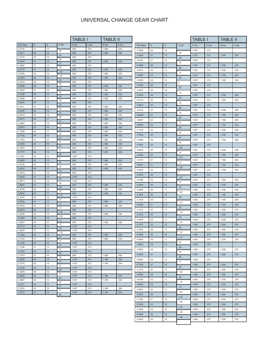|                  |             |             |              | <b>TABLE I</b> |              | <b>TABLE II</b> |              |           |           |             | <b>TABLE I</b> |       |       | <b>TABLE II</b> |       |
|------------------|-------------|-------------|--------------|----------------|--------------|-----------------|--------------|-----------|-----------|-------------|----------------|-------|-------|-----------------|-------|
| R/S Ratio        | $\mathsf R$ | $\mathbb S$ | % Dif        | R Dia          | S Dia        | R Dia           | S Dia        | R/S Ratio | ${\sf R}$ | $\mathbb S$ | % Dif          | R Dia | S Dia | R Dia           | S Dia |
| 2.4118           | 41          | 17          | .39          | .958           | .375         | 1.096           | .426         | 3.3846    | 44        | 13          |                | 1.007 | .312  |                 |       |
| 2.4211           | 46          | 19          | .68          | .958           | .375         | 1.096           | .426         | 3.4000    | 51        | 15          | .46            | 1.007 | .312  | 1.166           | .354  |
| 2.4375<br>2.4444 | 39<br>44    | 16<br>18    | .28          | .958<br>.958   | .375<br>.375 | 1.096           | .426         | 3.4167    | 41        | 12          | .49            | 1.007 | .312  |                 |       |
| 2.4667           | 37          | 15          | .91          | .958           | .375         |                 |              | 3.4286    | 48        | 14          | .35            | 1.007 | .312  | 1.166           | .354  |
| 2.4737           | 47          | 19          | .28          | .958           | .375         | 1.096           | .426         | 3.4615    | 45        | 13          | .96            | 1.007 | .312  | 1.166           | .354  |
| 2.5000           | 45          | 18          | 1.06         | .958           | .375         | 1.096           | .426         | 3.4667    | 52        | 15          | .15            | 1.007 | .312  | 1.166           | .354  |
| 2.5263           | 48          | 19          | 1.05<br>.28  | .958           | .375         | 1.096           | .426         | 3.5000    | 49        | 14          | .96            | 1.007 | .312  | 1.166           | .354  |
| 2.5333           | 38          | 15          | .88          | .958           | .375         |                 |              |           |           |             | $\mathsf 0$    |       |       |                 |       |
| 2.5556           | 46          | 18          | .27          | .958           | .375         | 1.096           | .426         | 3.5000    | 42        | 12          | .95            | 1.007 | .312  |                 |       |
| 2.5625<br>2.5789 | 41<br>49    | 16<br>19    | .64          | .958<br>.958   | .375<br>.375 | 1.096<br>1.096  | .426<br>.426 | 3.5333    | 53        | 15          | .15            | 1.007 | .312  |                 |       |
| 2.5882           | 44          | 17          | .36          | .958           | .375         | 1.096           | .426         | 3.5385    | 46        | 13          | .93            | 1.007 | .312  | 1.166           | .354  |
| 2.6000           | 39          | 15          | .46          | .958           | .375         |                 |              | 3.5714    | 50        | 14          | .33            | 1.007 | .312  | 1.166           | .354  |
| 2.6111           | 47          | 18          | .43          | .958           | .375         | 1.096           | .426         | 3.5833    | 43        | 12          | .90            | 1.007 | .312  |                 |       |
| 2.6250           | 42          | $16\,$      | .53<br>.25   | .958           | .375         | 1.096           | .426         | 3.6154    | 47        | 13          | .76            | 1.007 | .312  | 1.166           | .354  |
| 2.6316           | 50          | 19          | .59          | .958           | .375         | 1.096           | .426         | 3.6429    | 51        | 14          | .65            | 1.007 | .312  | 1.166           | .354  |
| 2.6471           | 45          | 17          | .74          | .958           | .375         | 1.096           | .426         | 3.6667    | 44        | 12          | .70            | 1.007 | .312  | 1.166           | .354  |
| 2.6667<br>2.6875 | 48<br>43    | 18<br>16    | .78          | .958<br>.958   | .375         | 1.096<br>1.096  | .426<br>.426 | 3.6923    | 48        | 13          |                | 1.007 | .312  | 1.166           | .354  |
| 2.7059           | 46          | $17\,$      | .68          | .958           | .375<br>.375 | 1.096           | .426         | 3.7143    | 52        | 14          | .60            | 1.007 | .312  | 1.166           | .354  |
| 2.7222           | 49          | 18          | .60          | .958           | .375         | 1.096           | .426         | 3.7500    | 45        | 12          | .96            | 1.007 | .312  | 1.166           | .354  |
| 2.7333           | 41          | 15          | .41          | .958           | .375         | 1.096           | .426         | 3.7692    | 49        | 13          | .51            | 1.007 | .312  | 1.166           | .354  |
| 2.7500           | 44          | 16          | .61<br>.53   | .958           | .375         | 1.096           | .426         | 3.7857    | 53        | 14          | .44            | 1.007 | .312  |                 |       |
| 2.7647           | 47          | $17\,$      | .47          | .958           | .375         | 1.096           | .426         | 3.8333    | 46        | 12          | 1.26           | 1.007 | .312  | 1.166           | .354  |
| 2.7777           | 50          | $18$        | .29          | .958           | .375         | 1.096           | .426         | 3.8462    | 50        | 13          | .34            | 1.007 | .312  | 1.166           | .354  |
| 2.7857           | 39          | 14          | 51           | 1.007          | .312         |                 |              | 3.9167    | 57        | 12          | 1.83           | 1.007 | .312  | 1.166           | .354  |
| 2.8000<br>2.8125 | 42<br>45    | 15<br>16    | .45          | .958<br>.958   | .375<br>.375 | 1.096<br>1.096  | .426<br>.426 |           | 51        |             | .16            |       |       |                 | .354  |
| 2.8235           | 48          | $17\,$      | .39          | .958           | .375         | 1.096           | .426         | 3.9231    |           | 13          | 1.96           | 1.007 | .312  | 1.166           |       |
| 2.8333           | 51          | 18          | .35          | .958           | .375         |                 |              | 4.0000    | 52        | 13          | $\mathsf 0$    | 1.007 | .312  | 1.166           | .354  |
| 2.8462           | 37          | 13          | .46          | 1.007          | .312         |                 |              | 4.0000    | 48        | 12          | 1.92           | 1.007 | .312  |                 |       |
| 2.8571           | 40          | $14\,$      | .38<br>.34   | 1.007          | .312         |                 |              | 4.0769    | 53        | 13          | .16            | 1.007 | .312  | 1.166           | .354  |
| 2.8667           | 43          | 15          | .29          | .958           | .375         | 1.096           | .426         | 4.0833    | 49        | 12          | .19            | 1.007 | .312  | 1.166           | .354  |
| 2.8750           | 46          | 16          | .26          | .958           | .375         | 1.096           | .426         | 4.0909    | 45        | 11          | 1.85           | 1.056 | .270  | 1.166           | .354  |
| 2.8824           | 49<br>35    | 17<br>12    | 1.19         | .958<br>1.007  | .375         | 1.096           | .426         | 4.1667    | 50        | 12          | .36            | 1.056 | .270  | 1.166           | .354  |
| 2.9167<br>2.9333 | $44$        | 15          | .57          | .958           | .312<br>.375 | 1.096           | .426         | 4.1818    | 46        | 11          |                | 1.056 | .270  | 1.166           | .354  |
| 2.9375           | 47          | 16          | .14          | .958           | .375         | 1.096           | .426         | 4.2500    | 51        | 12          | 1.63           | 1.056 | .270  | 1.166           | .354  |
| 2.9412           | 50          | 17          | .13          | .958           | .375         |                 |              | 4.2727    | 47        | 11          | .53            | 1.056 | .270  | 1.256           | .270  |
| 3.0000           | 45          | 15          | 2.00<br>2.08 | .958           | .375         | 1.096           | .426         | 4.3333    | 52        | 12          | 1.42           | 1.056 | .270  | 1.256           | .270  |
| 3.0625           | 49          | 16          | .14          | .958           | .375         |                 |              | 4.3636    | 48        | 11          | .70            | 1.056 | .270  | 1.256           | .270  |
| 3.0667           | 46          | 15          | .15          | .958           | .375         | 1.096           | .426         | 4.4167    | 53        | 12          | 1.22           | 1.056 | .270  | 1.256           | .270  |
| 3.0714           | 43          | 14          | .39          | 1.007          | .312         |                 |              | 4.4545    | 49        | 11          | .86            | 1.056 | .270  | 1.256           | .270  |
| 3.0833<br>3.1250 | 37<br>50    | 12<br>16    | 1.35         | 1.007<br>.958  | .312<br>.375 | 1.096           | 426          | 4.5000    | 45        | 10          | 1.02           | 1.056 | .270  | 1.256           | .270  |
| 3.1333           | 47          | 15          | .27          | .958           | .375         | 1.096           | .426         | 4.5455    | 50        | 11          | 1.01           | 1.056 | .270  | 1.256           | .270  |
| 3.1429           | 44          | 14          | .31          | 1.007          | .312         |                 |              | 4.5833    | 55        | 12          | .83            |       | .270  |                 |       |
| 3.1538           | 41          | 13          | .35<br>.41   | 1.007          | .312         |                 |              |           |           |             | .36            | 1.056 |       |                 |       |
| 3.1667           | 38          | 12          | .66          | 1.007          | .312         |                 |              | 4.6000    | 46        | 10          | .79            | 1.056 | .270  | 1.256           | .270  |
| 3.1875           | 51          | 16          | .39          | .958           | .375         | 1.096           | .426         | 4.6364    | 51        | 11          | .65            | 1.056 | .270  | 1.256           | .270  |
| 3.2000           | 48          | 15          | .45          | 1.007          | .312         | 1.166           | .354         | 4.6667    | 56        | 12          | .71            | 1.056 | .270  |                 |       |
| 3.2143<br>3.2308 | 45<br>42    | 14<br>13    | .51          | 1.007<br>1.007 | .312<br>.312 | 1.166           | .354         | 4.7000    | $47\,$    | 10          | .58            | 1.056 | .270  | 1.256           | .270  |
| 3.2500           | 39          | 12          | .59          | 1.007          | .312         |                 |              | 4.7273    | 52        | 11          | 1.54           | 1.056 | .270  | 1.256           | .270  |
| 3.2667           | 49          | 15          | .51          | 1.007          | .312         | 1.166           | .354         | 4.8000    | 48        | 10          | .38            | 1.056 | .270  | 1.256           | .270  |
| 3.2857           | 46          | 14          | .58          | 1.007          | .312         | 1.166           | .354         | 4.8182    | 53        | 11          |                | 1.056 | .270  | 1.256           | .270  |
| 3.3077           | 43          | 13          | .67          | 1.007          | .312         |                 |              | 4.9000    | 49        | 10          | 1.70           | 1.056 | .270  | 1.256           | .270  |
| 3.3333           | 50          | 15          | .77<br>.71   | 1.007          | .312         | 1.166           | .354         | 4.9091    | 54        | 11          | .19            | 1.056 | .270  | 1.256           | .270  |
| 3.3571           | 47          | 14          | .82          | 1.007          | .312         | 1.166           | .354         | 5.0000    | 50        | 11          | 1.85           | 1.056 | .270  | 1.256           | .270  |
|                  |             |             |              |                |              |                 |              | 5.1000    | 51        | 10          | 2.00           | 1.056 | .270  | 1.256           | .270  |
|                  |             |             |              |                |              |                 |              | 5.2000    | 52        | 10          | 1.96           | 1.056 | .270  | 1.256           | .270  |
|                  |             |             |              |                |              |                 |              | 5.3000    | 53        | 10          | 1.92           | 1.056 | .270  | 1.256           | .270  |
|                  |             |             |              |                |              |                 |              |           |           | $10$        | 1.89           |       |       |                 | .270  |
|                  |             |             |              |                |              |                 |              | 5.4000    | 54        |             |                | 1.056 | .270  | 1.256           |       |

5.5000 55 10

1.85

1.056 .270 1.256 .270